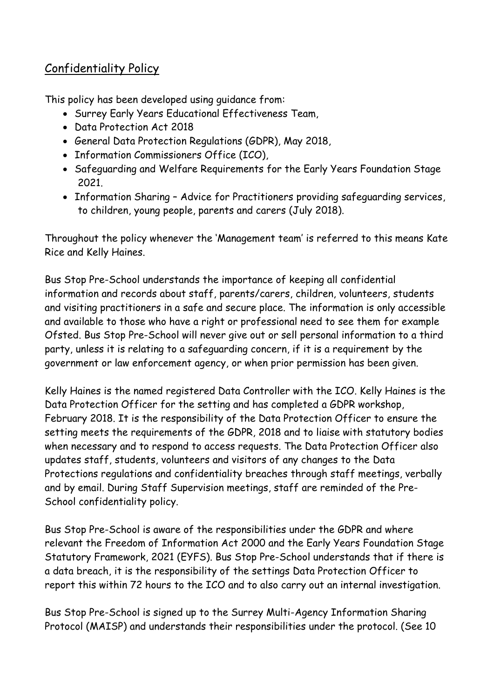## Confidentiality Policy

This policy has been developed using guidance from:

- Surrey Early Years Educational Effectiveness Team,
- Data Protection Act 2018
- General Data Protection Regulations (GDPR), May 2018,
- Information Commissioners Office (ICO),
- Safeguarding and Welfare Requirements for the Early Years Foundation Stage 2021.
- Information Sharing Advice for Practitioners providing safeguarding services, to children, young people, parents and carers (July 2018).

Throughout the policy whenever the 'Management team' is referred to this means Kate Rice and Kelly Haines.

Bus Stop Pre-School understands the importance of keeping all confidential information and records about staff, parents/carers, children, volunteers, students and visiting practitioners in a safe and secure place. The information is only accessible and available to those who have a right or professional need to see them for example Ofsted. Bus Stop Pre-School will never give out or sell personal information to a third party, unless it is relating to a safeguarding concern, if it is a requirement by the government or law enforcement agency, or when prior permission has been given.

Kelly Haines is the named registered Data Controller with the ICO. Kelly Haines is the Data Protection Officer for the setting and has completed a GDPR workshop, February 2018. It is the responsibility of the Data Protection Officer to ensure the setting meets the requirements of the GDPR, 2018 and to liaise with statutory bodies when necessary and to respond to access requests. The Data Protection Officer also updates staff, students, volunteers and visitors of any changes to the Data Protections regulations and confidentiality breaches through staff meetings, verbally and by email. During Staff Supervision meetings, staff are reminded of the Pre-School confidentiality policy.

Bus Stop Pre-School is aware of the responsibilities under the GDPR and where relevant the Freedom of Information Act 2000 and the Early Years Foundation Stage Statutory Framework, 2021 (EYFS). Bus Stop Pre-School understands that if there is a data breach, it is the responsibility of the settings Data Protection Officer to report this within 72 hours to the ICO and to also carry out an internal investigation.

Bus Stop Pre-School is signed up to the Surrey Multi-Agency Information Sharing Protocol (MAISP) and understands their responsibilities under the protocol. (See 10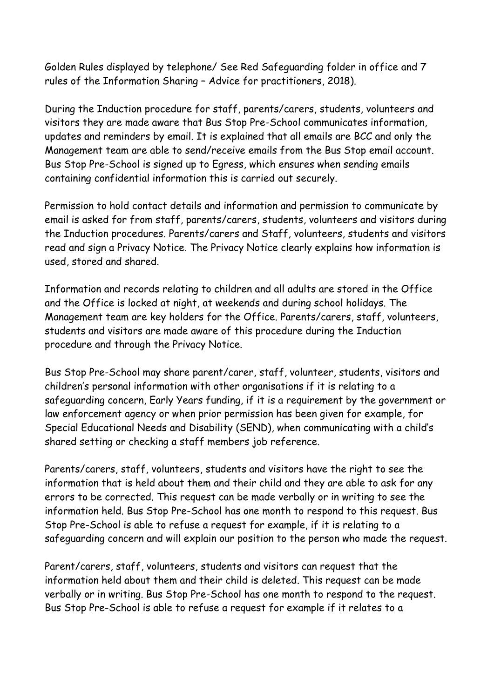Golden Rules displayed by telephone/ See Red Safeguarding folder in office and 7 rules of the Information Sharing – Advice for practitioners, 2018).

During the Induction procedure for staff, parents/carers, students, volunteers and visitors they are made aware that Bus Stop Pre-School communicates information, updates and reminders by email. It is explained that all emails are BCC and only the Management team are able to send/receive emails from the Bus Stop email account. Bus Stop Pre-School is signed up to Egress, which ensures when sending emails containing confidential information this is carried out securely.

Permission to hold contact details and information and permission to communicate by email is asked for from staff, parents/carers, students, volunteers and visitors during the Induction procedures. Parents/carers and Staff, volunteers, students and visitors read and sign a Privacy Notice. The Privacy Notice clearly explains how information is used, stored and shared.

Information and records relating to children and all adults are stored in the Office and the Office is locked at night, at weekends and during school holidays. The Management team are key holders for the Office. Parents/carers, staff, volunteers, students and visitors are made aware of this procedure during the Induction procedure and through the Privacy Notice.

Bus Stop Pre-School may share parent/carer, staff, volunteer, students, visitors and children's personal information with other organisations if it is relating to a safeguarding concern, Early Years funding, if it is a requirement by the government or law enforcement agency or when prior permission has been given for example, for Special Educational Needs and Disability (SEND), when communicating with a child's shared setting or checking a staff members job reference.

Parents/carers, staff, volunteers, students and visitors have the right to see the information that is held about them and their child and they are able to ask for any errors to be corrected. This request can be made verbally or in writing to see the information held. Bus Stop Pre-School has one month to respond to this request. Bus Stop Pre-School is able to refuse a request for example, if it is relating to a safeguarding concern and will explain our position to the person who made the request.

Parent/carers, staff, volunteers, students and visitors can request that the information held about them and their child is deleted. This request can be made verbally or in writing. Bus Stop Pre-School has one month to respond to the request. Bus Stop Pre-School is able to refuse a request for example if it relates to a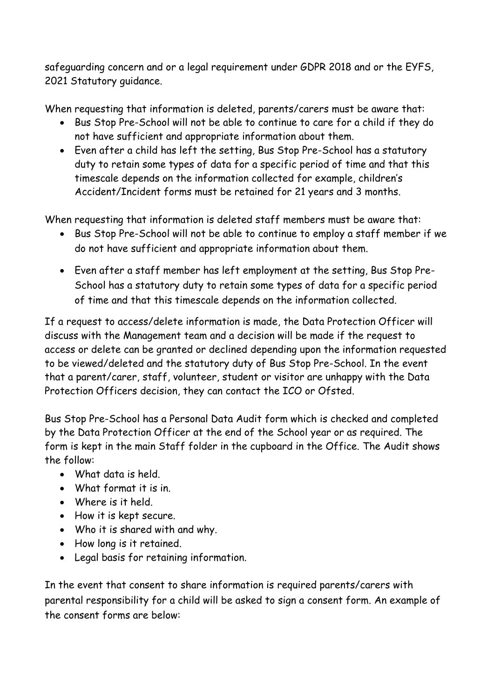safeguarding concern and or a legal requirement under GDPR 2018 and or the EYFS, 2021 Statutory guidance.

When requesting that information is deleted, parents/carers must be aware that:

- Bus Stop Pre-School will not be able to continue to care for a child if they do not have sufficient and appropriate information about them.
- Even after a child has left the setting, Bus Stop Pre-School has a statutory duty to retain some types of data for a specific period of time and that this timescale depends on the information collected for example, children's Accident/Incident forms must be retained for 21 years and 3 months.

When requesting that information is deleted staff members must be aware that:

- Bus Stop Pre-School will not be able to continue to employ a staff member if we do not have sufficient and appropriate information about them.
- Even after a staff member has left employment at the setting, Bus Stop Pre-School has a statutory duty to retain some types of data for a specific period of time and that this timescale depends on the information collected.

If a request to access/delete information is made, the Data Protection Officer will discuss with the Management team and a decision will be made if the request to access or delete can be granted or declined depending upon the information requested to be viewed/deleted and the statutory duty of Bus Stop Pre-School. In the event that a parent/carer, staff, volunteer, student or visitor are unhappy with the Data Protection Officers decision, they can contact the ICO or Ofsted.

Bus Stop Pre-School has a Personal Data Audit form which is checked and completed by the Data Protection Officer at the end of the School year or as required. The form is kept in the main Staff folder in the cupboard in the Office. The Audit shows the follow:

- What data is held.
- What format it is in.
- Where is it held.
- How it is kept secure.
- Who it is shared with and why.
- How long is it retained.
- Legal basis for retaining information.

In the event that consent to share information is required parents/carers with parental responsibility for a child will be asked to sign a consent form. An example of the consent forms are below: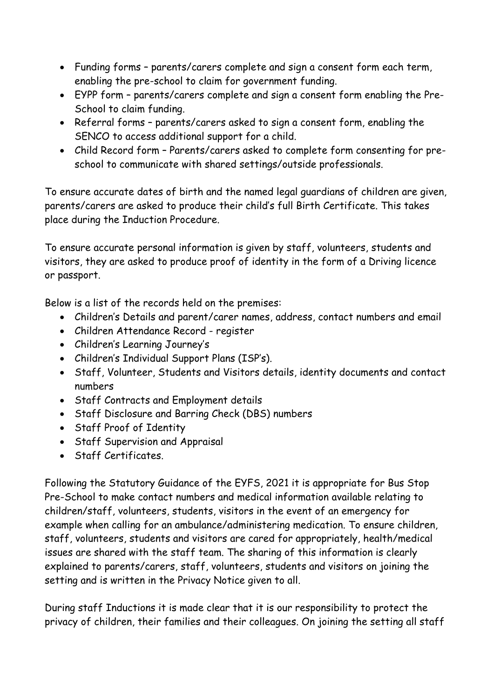- Funding forms parents/carers complete and sign a consent form each term, enabling the pre-school to claim for government funding.
- EYPP form parents/carers complete and sign a consent form enabling the Pre-School to claim funding.
- Referral forms parents/carers asked to sign a consent form, enabling the SENCO to access additional support for a child.
- Child Record form Parents/carers asked to complete form consenting for preschool to communicate with shared settings/outside professionals.

To ensure accurate dates of birth and the named legal guardians of children are given, parents/carers are asked to produce their child's full Birth Certificate. This takes place during the Induction Procedure.

To ensure accurate personal information is given by staff, volunteers, students and visitors, they are asked to produce proof of identity in the form of a Driving licence or passport.

Below is a list of the records held on the premises:

- Children's Details and parent/carer names, address, contact numbers and email
- Children Attendance Record register
- Children's Learning Journey's
- Children's Individual Support Plans (ISP's).
- Staff, Volunteer, Students and Visitors details, identity documents and contact numbers
- Staff Contracts and Employment details
- Staff Disclosure and Barring Check (DBS) numbers
- Staff Proof of Identity
- Staff Supervision and Appraisal
- Staff Certificates.

Following the Statutory Guidance of the EYFS, 2021 it is appropriate for Bus Stop Pre-School to make contact numbers and medical information available relating to children/staff, volunteers, students, visitors in the event of an emergency for example when calling for an ambulance/administering medication. To ensure children, staff, volunteers, students and visitors are cared for appropriately, health/medical issues are shared with the staff team. The sharing of this information is clearly explained to parents/carers, staff, volunteers, students and visitors on joining the setting and is written in the Privacy Notice given to all.

During staff Inductions it is made clear that it is our responsibility to protect the privacy of children, their families and their colleagues. On joining the setting all staff